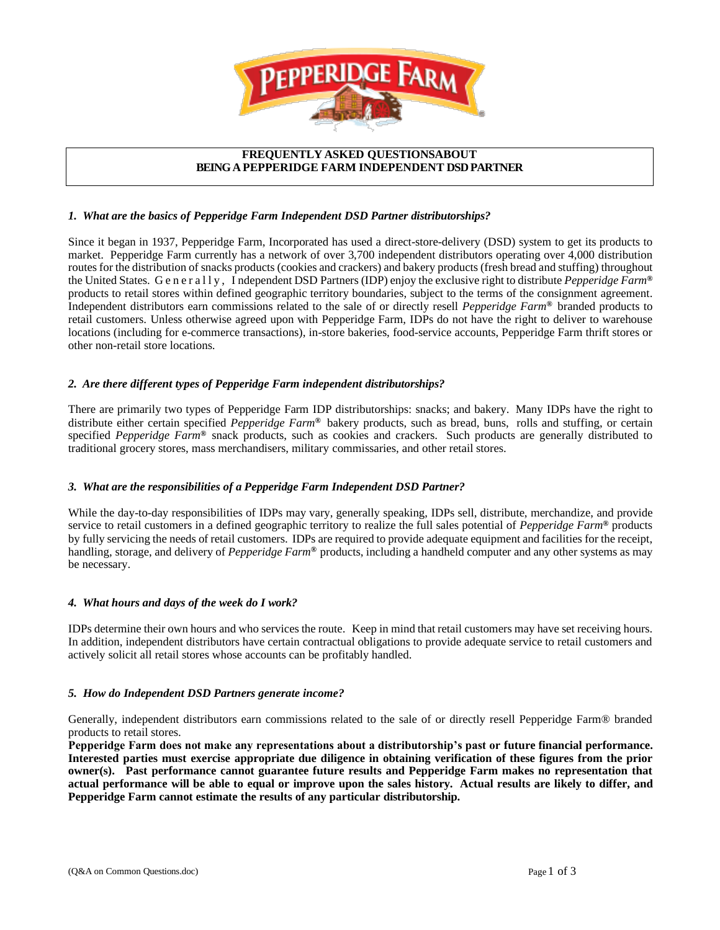

### **FREQUENTLY ASKED QUESTIONSABOUT BEING A PEPPERIDGE FARM INDEPENDENT DSD PARTNER**

### *1. What are the basics of Pepperidge Farm Independent DSD Partner distributorships?*

Since it began in 1937, Pepperidge Farm, Incorporated has used a direct-store-delivery (DSD) system to get its products to market. Pepperidge Farm currently has a network of over 3,700 independent distributors operating over 4,000 distribution routes for the distribution of snacks products (cookies and crackers) and bakery products (fresh bread and stuffing) throughout the UnitedStates. G e n e r a l l y , I ndependent DSD Partners (IDP) enjoy the exclusive rightto distribute *Pepperidge Farm***®** products to retail stores within defined geographic territory boundaries, subject to the terms of the consignment agreement. Independent distributors earn commissions related to the sale of or directly resell *Pepperidge Farm***®** branded products to retail customers. Unless otherwise agreed upon with Pepperidge Farm, IDPs do not have the right to deliver to warehouse locations (including for e-commerce transactions), in-store bakeries, food-service accounts, Pepperidge Farm thrift stores or other non-retail store locations.

# *2. Are there different types of Pepperidge Farm independent distributorships?*

There are primarily two types of Pepperidge Farm IDP distributorships: snacks; and bakery. Many IDPs have the right to distribute either certain specified *Pepperidge Farm***®** bakery products, such as bread, buns, rolls and stuffing, or certain specified *Pepperidge Farm***®** snack products, such as cookies and crackers. Such products are generally distributed to traditional grocery stores, mass merchandisers, military commissaries, and other retail stores.

# *3. What are the responsibilities of a Pepperidge Farm Independent DSD Partner?*

While the day-to-day responsibilities of IDPs may vary, generally speaking, IDPs sell, distribute, merchandize, and provide service to retail customers in a defined geographic territory to realize the full sales potential of *Pepperidge Farm***®** products by fully servicing the needs of retail customers. IDPs are required to provide adequate equipment and facilities for the receipt, handling, storage, and delivery of *Pepperidge Farm***®** products, including a handheld computer and any other systems as may be necessary.

### *4. What hours and days of the week do I work?*

IDPs determine their own hours and who services the route. Keep in mind that retail customers may have set receiving hours. In addition, independent distributors have certain contractual obligations to provide adequate service to retail customers and actively solicit all retail stores whose accounts can be profitably handled.

### *5. How do Independent DSD Partners generate income?*

Generally, independent distributors earn commissions related to the sale of or directly resell Pepperidge Farm® branded products to retail stores.

**Pepperidge Farm does not make any representations about a distributorship's past or future financial performance. Interested parties must exercise appropriate due diligence in obtaining verification of these figures from the prior owner(s). Past performance cannot guarantee future results and Pepperidge Farm makes no representation that actual performance will be able to equal or improve upon the sales history. Actual results are likely to differ, and Pepperidge Farm cannot estimate the results of any particular distributorship.**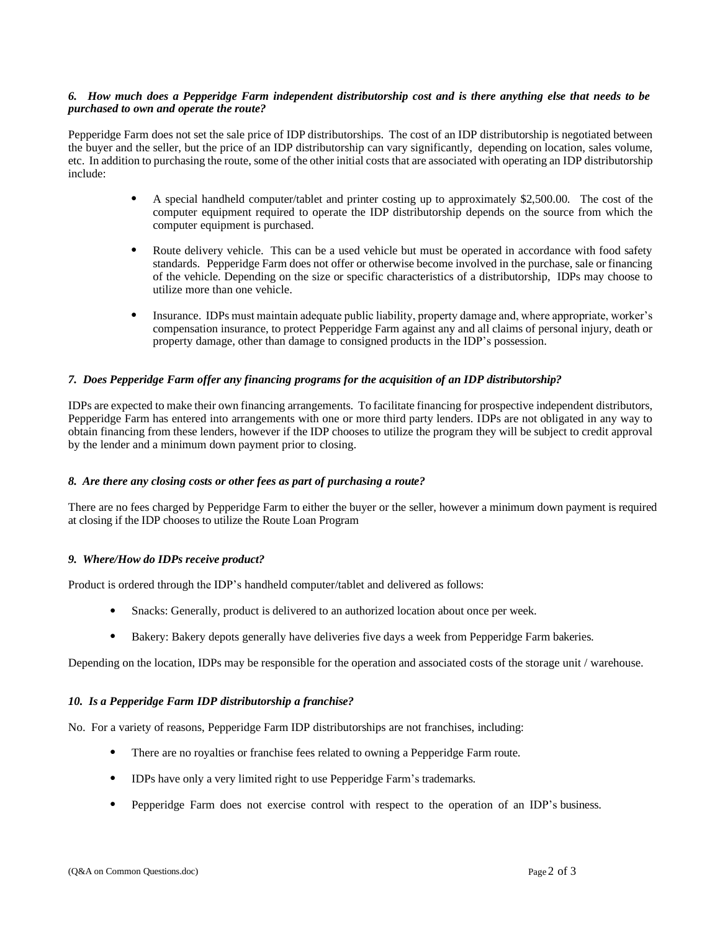### 6. How much does a Pepperidge Farm independent distributorship cost and is there anything else that needs to be *purchased to own and operate the route?*

Pepperidge Farm does not set the sale price of IDP distributorships. The cost of an IDP distributorship is negotiated between the buyer and the seller, but the price of an IDP distributorship can vary significantly, depending on location, sales volume, etc. In addition to purchasing the route, some of the other initial costs that are associated with operating an IDP distributorship include:

- A special handheld computer/tablet and printer costing up to approximately \$2,500.00. The cost of the computer equipment required to operate the IDP distributorship depends on the source from which the computer equipment is purchased.
- Route delivery vehicle. This can be a used vehicle but must be operated in accordance with food safety standards. Pepperidge Farm does not offer or otherwise become involved in the purchase, sale or financing of the vehicle. Depending on the size or specific characteristics of a distributorship, IDPs may choose to utilize more than one vehicle.
- Insurance. IDPs must maintain adequate public liability, property damage and, where appropriate, worker's compensation insurance, to protect Pepperidge Farm against any and all claims of personal injury, death or property damage, other than damage to consigned products in the IDP's possession.

### *7. Does Pepperidge Farm offer any financing programs for the acquisition of an IDP distributorship?*

IDPs are expected to make their own financing arrangements. To facilitate financing for prospective independent distributors, Pepperidge Farm has entered into arrangements with one or more third party lenders. IDPs are not obligated in any way to obtain financing from these lenders, however if the IDP chooses to utilize the program they will be subject to credit approval by the lender and a minimum down payment prior to closing.

### *8. Are there any closing costs or other fees as part of purchasing a route?*

There are no fees charged by Pepperidge Farm to either the buyer or the seller, however a minimum down payment is required at closing if the IDP chooses to utilize the Route Loan Program

# *9. Where/How do IDPs receive product?*

Product is ordered through the IDP's handheld computer/tablet and delivered as follows:

- Snacks: Generally, product is delivered to an authorized location about once per week.
- Bakery: Bakery depots generally have deliveries five days a week from Pepperidge Farm bakeries.

Depending on the location, IDPs may be responsible for the operation and associated costs of the storage unit / warehouse.

# *10. Is a Pepperidge Farm IDP distributorship a franchise?*

No. For a variety of reasons, Pepperidge Farm IDP distributorships are not franchises, including:

- There are no royalties or franchise fees related to owning a Pepperidge Farm route.
- IDPs have only a very limited right to use Pepperidge Farm's trademarks.
- Pepperidge Farm does not exercise control with respect to the operation of an IDP's business.